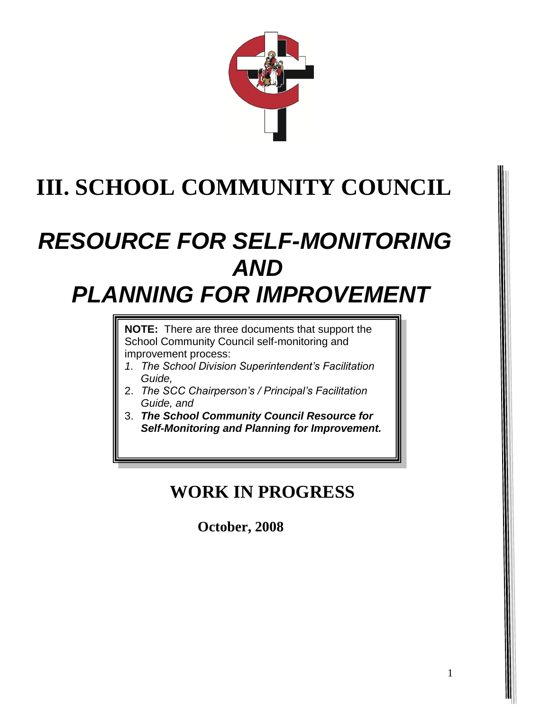

# **III. SCHOOL COMMUNITY COUNCIL**

## *RESOURCE FOR SELF-MONITORING AND PLANNING FOR IMPROVEMENT*

**NOTE:** There are three documents that support the

School Community Council self-monitoring and improvement process:

- *1. The School Division Superintendent's Facilitation Guide,*
- 2. *The SCC Chairperson's / Principal's Facilitation Guide, and*
- 3. *The School Community Council Resource for Self-Monitoring and Planning for Improvement.*

### **WORK IN PROGRESS**

 **October, 2008**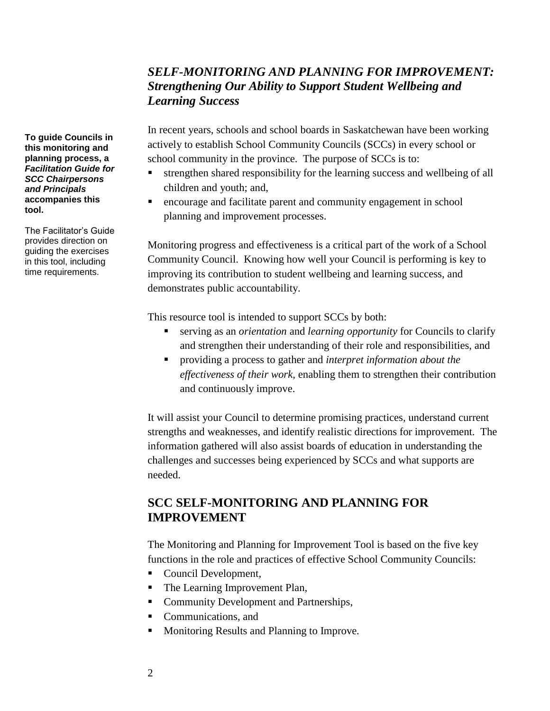#### *SELF-MONITORING AND PLANNING FOR IMPROVEMENT: Strengthening Our Ability to Support Student Wellbeing and Learning Success*

In recent years, schools and school boards in Saskatchewan have been working actively to establish School Community Councils (SCCs) in every school or school community in the province. The purpose of SCCs is to:

- strengthen shared responsibility for the learning success and wellbeing of all children and youth; and,
- encourage and facilitate parent and community engagement in school planning and improvement processes.

Monitoring progress and effectiveness is a critical part of the work of a School Community Council. Knowing how well your Council is performing is key to improving its contribution to student wellbeing and learning success, and demonstrates public accountability.

This resource tool is intended to support SCCs by both:

- serving as an *orientation* and *learning opportunity* for Councils to clarify and strengthen their understanding of their role and responsibilities, and
- providing a process to gather and *interpret information about the effectiveness of their work,* enabling them to strengthen their contribution and continuously improve.

It will assist your Council to determine promising practices, understand current strengths and weaknesses, and identify realistic directions for improvement. The information gathered will also assist boards of education in understanding the challenges and successes being experienced by SCCs and what supports are needed.

#### **SCC SELF-MONITORING AND PLANNING FOR IMPROVEMENT**

The Monitoring and Planning for Improvement Tool is based on the five key functions in the role and practices of effective School Community Councils:

- Council Development,
- The Learning Improvement Plan,
- **Community Development and Partnerships,**
- Communications, and
- Monitoring Results and Planning to Improve.

**To guide Councils in this monitoring and planning process, a**  *Facilitation Guide for SCC Chairpersons and Principals* **accompanies this tool.**

The Facilitator's Guide provides direction on guiding the exercises in this tool, including time requirements.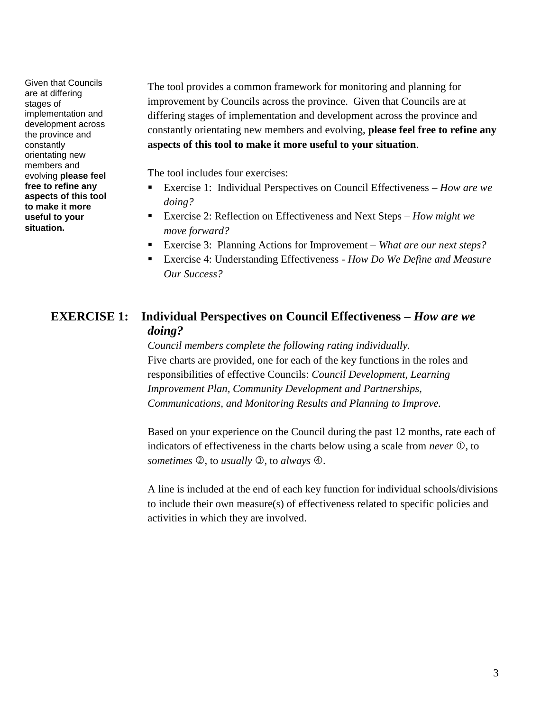Given that Councils are at differing stages of implementation and development across the province and constantly orientating new members and evolving **please feel free to refine any aspects of this tool to make it more useful to your situation.**

The tool provides a common framework for monitoring and planning for improvement by Councils across the province. Given that Councils are at differing stages of implementation and development across the province and constantly orientating new members and evolving, **please feel free to refine any aspects of this tool to make it more useful to your situation**.

The tool includes four exercises:

- Exercise 1: Individual Perspectives on Council Effectiveness *How are we doing?*
- Exercise 2: Reflection on Effectiveness and Next Steps *How might we move forward?*
- Exercise 3: Planning Actions for Improvement *What are our next steps?*
- Exercise 4: Understanding Effectiveness *How Do We Define and Measure Our Success?*

#### **EXERCISE 1: Individual Perspectives on Council Effectiveness –** *How are we doing?*

*Council members complete the following rating individually.* Five charts are provided, one for each of the key functions in the roles and responsibilities of effective Councils: *Council Development, Learning Improvement Plan, Community Development and Partnerships, Communications, and Monitoring Results and Planning to Improve.*

Based on your experience on the Council during the past 12 months, rate each of indicators of effectiveness in the charts below using a scale from *never*  $\mathbb{O}$ , to *sometimes* 2, to *usually* 3, to *always* 4.

A line is included at the end of each key function for individual schools/divisions to include their own measure(s) of effectiveness related to specific policies and activities in which they are involved.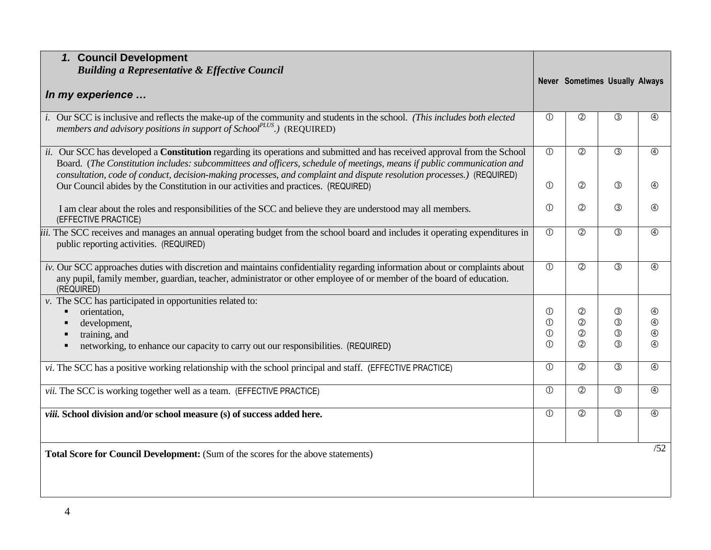| 1. Council Development                                                                                                                                                                                                                                                                                                                                                       |               |                |                                       |               |
|------------------------------------------------------------------------------------------------------------------------------------------------------------------------------------------------------------------------------------------------------------------------------------------------------------------------------------------------------------------------------|---------------|----------------|---------------------------------------|---------------|
| <b>Building a Representative &amp; Effective Council</b>                                                                                                                                                                                                                                                                                                                     |               |                |                                       |               |
|                                                                                                                                                                                                                                                                                                                                                                              |               |                | <b>Never Sometimes Usually Always</b> |               |
| In my experience                                                                                                                                                                                                                                                                                                                                                             |               |                |                                       |               |
| i. Our SCC is inclusive and reflects the make-up of the community and students in the school. (This includes both elected<br>members and advisory positions in support of School <sup>PLUS</sup> .) (REQUIRED)                                                                                                                                                               | $\circled{0}$ | $\circled{2}$  | $\circled{3}$                         | $\circled{4}$ |
| ii. Our SCC has developed a Constitution regarding its operations and submitted and has received approval from the School<br>Board. (The Constitution includes: subcommittees and officers, schedule of meetings, means if public communication and<br>consultation, code of conduct, decision-making processes, and complaint and dispute resolution processes.) (REQUIRED) | (1)           | $\overline{O}$ | $\overline{\circ}$                    | $\circledA$   |
| Our Council abides by the Constitution in our activities and practices. (REQUIRED)                                                                                                                                                                                                                                                                                           | $\circled{0}$ | $\circled{2}$  | $\circled{3}$                         | $\circled{4}$ |
| I am clear about the roles and responsibilities of the SCC and believe they are understood may all members.<br>(EFFECTIVE PRACTICE)                                                                                                                                                                                                                                          | $\circled{0}$ | $^{\circledR}$ | $\circled{3}$                         | $\circledA$   |
| iii. The SCC receives and manages an annual operating budget from the school board and includes it operating expenditures in<br>public reporting activities. (REQUIRED)                                                                                                                                                                                                      | $\circled{0}$ | $\circled{2}$  | $\circled{3}$                         | $\circled{4}$ |
| iv. Our SCC approaches duties with discretion and maintains confidentiality regarding information about or complaints about<br>any pupil, family member, guardian, teacher, administrator or other employee of or member of the board of education.<br>(REQUIRED)                                                                                                            | $\circled{0}$ | $\circled{2}$  | $\circledS$                           | $\circledA$   |
| $\nu$ . The SCC has participated in opportunities related to:                                                                                                                                                                                                                                                                                                                |               |                |                                       |               |
| orientation,                                                                                                                                                                                                                                                                                                                                                                 | $\circled{0}$ | $^{\circledR}$ | $\circled{3}$                         | $\circledA$   |
| development,<br>$\blacksquare$                                                                                                                                                                                                                                                                                                                                               | $\odot$       | $^{\circledR}$ | $\circled{3}$                         | $\circledA$   |
| training, and<br>٠                                                                                                                                                                                                                                                                                                                                                           | $\circled{0}$ | $\circledZ$    | $\circledS$                           | $\circledA$   |
| networking, to enhance our capacity to carry out our responsibilities. (REQUIRED)<br>٠                                                                                                                                                                                                                                                                                       | $\circled{0}$ | $\circled{2}$  | $\circled{3}$                         | $\circled{4}$ |
| vi. The SCC has a positive working relationship with the school principal and staff. (EFFECTIVE PRACTICE)                                                                                                                                                                                                                                                                    | (1)           | $\circled{2}$  | $\circled{3}$                         | $\circledA$   |
| vii. The SCC is working together well as a team. (EFFECTIVE PRACTICE)                                                                                                                                                                                                                                                                                                        | (1)           | $\circled{2}$  | $\circled{3}$                         | $\circled{4}$ |
| viii. School division and/or school measure (s) of success added here.                                                                                                                                                                                                                                                                                                       | $\circled{0}$ | $\circled{2}$  | $\circled{3}$                         | $\circled{4}$ |
| Total Score for Council Development: (Sum of the scores for the above statements)                                                                                                                                                                                                                                                                                            |               |                |                                       | /52           |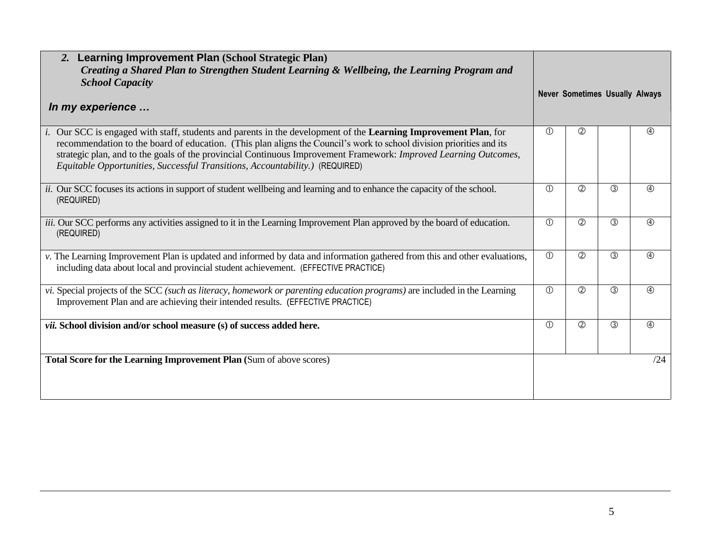| 2. Learning Improvement Plan (School Strategic Plan)<br>Creating a Shared Plan to Strengthen Student Learning & Wellbeing, the Learning Program and<br><b>School Capacity</b>                                                                                                                                                                                                                                                               |               |               |                                       |               |
|---------------------------------------------------------------------------------------------------------------------------------------------------------------------------------------------------------------------------------------------------------------------------------------------------------------------------------------------------------------------------------------------------------------------------------------------|---------------|---------------|---------------------------------------|---------------|
| In my experience                                                                                                                                                                                                                                                                                                                                                                                                                            |               |               | <b>Never Sometimes Usually Always</b> |               |
| i. Our SCC is engaged with staff, students and parents in the development of the Learning Improvement Plan, for<br>recommendation to the board of education. (This plan aligns the Council's work to school division priorities and its<br>strategic plan, and to the goals of the provincial Continuous Improvement Framework: Improved Learning Outcomes,<br>Equitable Opportunities, Successful Transitions, Accountability.) (REQUIRED) | $\circled{1}$ | $\circled{2}$ |                                       | $\circled{4}$ |
| <i>ii.</i> Our SCC focuses its actions in support of student wellbeing and learning and to enhance the capacity of the school.<br>(REQUIRED)                                                                                                                                                                                                                                                                                                | $\circled{0}$ | $\circled{2}$ | $\circled{3}$                         | $\circled{4}$ |
| iii. Our SCC performs any activities assigned to it in the Learning Improvement Plan approved by the board of education.<br>(REQUIRED)                                                                                                                                                                                                                                                                                                      | $\circled{1}$ | $\circled{2}$ | $\circled{3}$                         | $\circled{4}$ |
| v. The Learning Improvement Plan is updated and informed by data and information gathered from this and other evaluations,<br>including data about local and provincial student achievement. (EFFECTIVE PRACTICE)                                                                                                                                                                                                                           | $\circled{0}$ | $\circled{2}$ | $\circled{3}$                         | $\circled{4}$ |
| vi. Special projects of the SCC (such as literacy, homework or parenting education programs) are included in the Learning<br>Improvement Plan and are achieving their intended results. (EFFECTIVE PRACTICE)                                                                                                                                                                                                                                | $\circled{0}$ | $\circled{2}$ | $\circled{3}$                         | $\circled{4}$ |
| vii. School division and/or school measure (s) of success added here.                                                                                                                                                                                                                                                                                                                                                                       | $\circled{1}$ | $\circled{2}$ | $\circled{3}$                         | $\circledA$   |
| Total Score for the Learning Improvement Plan (Sum of above scores)                                                                                                                                                                                                                                                                                                                                                                         |               |               |                                       | /24           |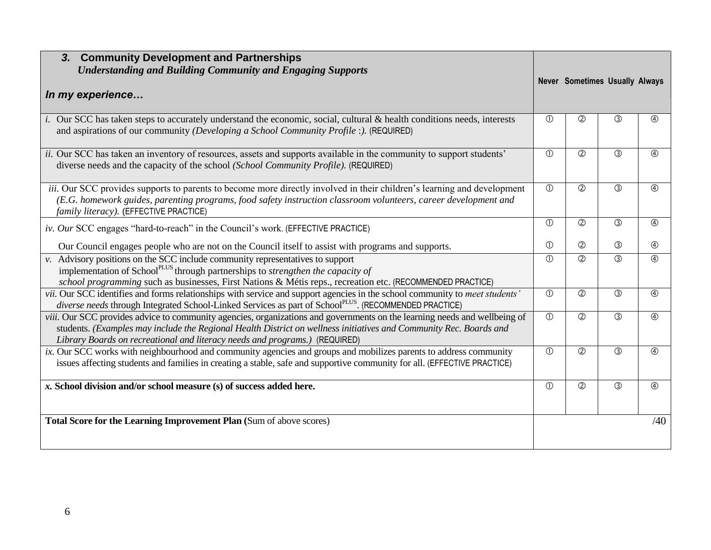| <b>Community Development and Partnerships</b><br>3 <sub>r</sub>                                                                                                                                                                                                                                                                |                |               |                                       |                |
|--------------------------------------------------------------------------------------------------------------------------------------------------------------------------------------------------------------------------------------------------------------------------------------------------------------------------------|----------------|---------------|---------------------------------------|----------------|
| <b>Understanding and Building Community and Engaging Supports</b>                                                                                                                                                                                                                                                              |                |               |                                       |                |
|                                                                                                                                                                                                                                                                                                                                |                |               | <b>Never Sometimes Usually Always</b> |                |
| In my experience                                                                                                                                                                                                                                                                                                               |                |               |                                       |                |
| i. Our SCC has taken steps to accurately understand the economic, social, cultural & health conditions needs, interests                                                                                                                                                                                                        | $\circled{0}$  | $\circled{2}$ | $\circled{3}$                         | $^{\circledR}$ |
| and aspirations of our community (Developing a School Community Profile :). (REQUIRED)                                                                                                                                                                                                                                         |                |               |                                       |                |
| ii. Our SCC has taken an inventory of resources, assets and supports available in the community to support students'<br>diverse needs and the capacity of the school (School Community Profile). (REQUIRED)                                                                                                                    | $\circled{0}$  | $\circled{2}$ | $\circled{3}$                         | $\circled{4}$  |
| iii. Our SCC provides supports to parents to become more directly involved in their children's learning and development<br>(E.G. homework guides, parenting programs, food safety instruction classroom volunteers, career development and<br>family literacy). (EFFECTIVE PRACTICE)                                           | $\circled{0}$  | $\circled{2}$ | $\circled{3}$                         | $\circled{4}$  |
| iv. Our SCC engages "hard-to-reach" in the Council's work. (EFFECTIVE PRACTICE)                                                                                                                                                                                                                                                | $\circled{0}$  | $\circled{2}$ | $\circled{3}$                         | $\circled{4}$  |
| Our Council engages people who are not on the Council itself to assist with programs and supports.                                                                                                                                                                                                                             | $\circled{0}$  | $\circled{2}$ | $\circled{3}$                         | $\circledA$    |
| v. Advisory positions on the SCC include community representatives to support<br>implementation of School <sup>PLUS</sup> through partnerships to <i>strengthen the capacity of</i><br>school programming such as businesses, First Nations & Métis reps., recreation etc. (RECOMMENDED PRACTICE)                              | (1)            | $\circled{2}$ | (3)                                   | $\circled{4}$  |
| vii. Our SCC identifies and forms relationships with service and support agencies in the school community to meet students'<br>diverse needs through Integrated School-Linked Services as part of SchoolPLUS. (RECOMMENDED PRACTICE)                                                                                           | $\circled{0}$  | $\circled{2}$ | $\circled{3}$                         | $\circled{4}$  |
| viii. Our SCC provides advice to community agencies, organizations and governments on the learning needs and wellbeing of<br>students. (Examples may include the Regional Health District on wellness initiatives and Community Rec. Boards and<br>Library Boards on recreational and literacy needs and programs.) (REQUIRED) | $\overline{0}$ | $\circled{2}$ | (3)                                   | $\circled{4}$  |
| ix. Our SCC works with neighbourhood and community agencies and groups and mobilizes parents to address community<br>issues affecting students and families in creating a stable, safe and supportive community for all. (EFFECTIVE PRACTICE)                                                                                  | $\circled{0}$  | $\circled{2}$ | $\circledS$                           | $\circledA$    |
| x. School division and/or school measure (s) of success added here.                                                                                                                                                                                                                                                            | $\circled{0}$  | $\circled{2}$ | $\circled{3}$                         | $\circled{4}$  |
| Total Score for the Learning Improvement Plan (Sum of above scores)                                                                                                                                                                                                                                                            |                |               |                                       | /40            |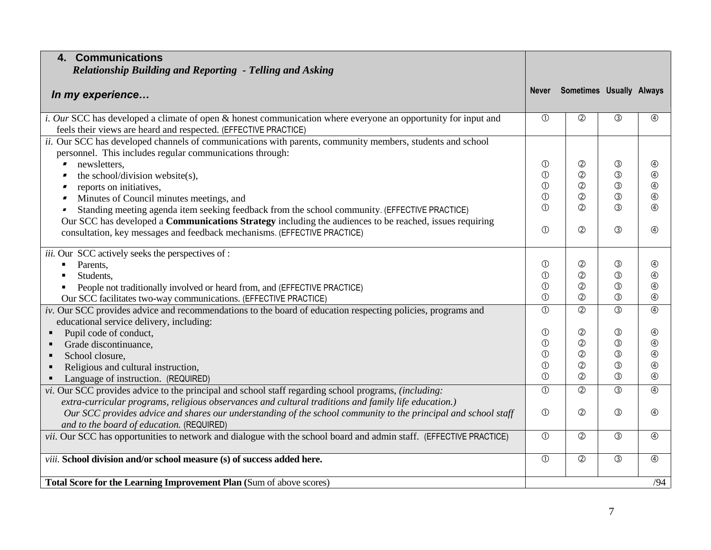| 4. Communications<br>Relationship Building and Reporting - Telling and Asking                                                                                                                                |                                |                                 |                              |                              |
|--------------------------------------------------------------------------------------------------------------------------------------------------------------------------------------------------------------|--------------------------------|---------------------------------|------------------------------|------------------------------|
| In my experience                                                                                                                                                                                             | Never                          | Sometimes Usually Always        |                              |                              |
| <i>i. Our</i> SCC has developed a climate of open & honest communication where everyone an opportunity for input and<br>feels their views are heard and respected. (EFFECTIVE PRACTICE)                      | $\circled{1}$                  | $\circled{2}$                   | $\circled{3}$                | $\circled{4}$                |
| ii. Our SCC has developed channels of communications with parents, community members, students and school<br>personnel. This includes regular communications through:                                        |                                |                                 |                              |                              |
| newsletters,                                                                                                                                                                                                 | $\circledcirc$                 | ②                               | ③                            | $^{\circledR}$               |
| the school/division website(s),                                                                                                                                                                              | $\overline{0}$                 | $^{\circledR}$                  | $\circled{3}$                | $\circledA$                  |
| reports on initiatives,                                                                                                                                                                                      | $\circled{1}$                  | $^{\circledR}$                  | $\circled{3}$                | $\circledA$                  |
| Minutes of Council minutes meetings, and                                                                                                                                                                     | $\circled{1}$                  | $^{\circledR}$                  | $\circled{3}$                | $\circledA$                  |
| Standing meeting agenda item seeking feedback from the school community. (EFFECTIVE PRACTICE)<br>Our SCC has developed a Communications Strategy including the audiences to be reached, issues requiring     | $\circledD$                    | $\circled{2}$                   | $\circled{3}$                | $\circled{4}$                |
| consultation, key messages and feedback mechanisms. (EFFECTIVE PRACTICE)                                                                                                                                     | $\circled{0}$                  | $\circled{2}$                   | $\circled{3}$                | $\circled{4}$                |
| iii. Our SCC actively seeks the perspectives of :                                                                                                                                                            |                                |                                 |                              |                              |
| Parents,                                                                                                                                                                                                     | $\circled{0}$                  | $^{\circledR}$                  | ③                            | $\circledA$                  |
| Students,                                                                                                                                                                                                    | $\circled{1}$                  | $^{\circledR}$                  | $\circled{3}$                | $\circledA$                  |
| People not traditionally involved or heard from, and (EFFECTIVE PRACTICE)                                                                                                                                    | $\circled{0}$                  | $^{\circledR}$                  | $\circled{3}$                | $\circled{4}$                |
| Our SCC facilitates two-way communications. (EFFECTIVE PRACTICE)                                                                                                                                             | $\circled{1}$                  | $\circled{2}$                   | $\circled{3}$                | $\circledA$                  |
| iv. Our SCC provides advice and recommendations to the board of education respecting policies, programs and                                                                                                  | $\circled{0}$                  | $\circled{2}$                   | $\circled{3}$                | $\circledA$                  |
| educational service delivery, including:                                                                                                                                                                     |                                |                                 |                              |                              |
| Pupil code of conduct,                                                                                                                                                                                       | $\circled{0}$                  | $^{\circledR}$                  | $\circledS$                  | $^{\circledR}$               |
| Grade discontinuance,                                                                                                                                                                                        | $\circled{1}$                  | $^{\circledR}$                  | $\circledS$                  | $\circledA$                  |
| School closure,                                                                                                                                                                                              | $\circled{0}$                  | $^{\circledR}$                  | $\circledS$<br>$\circled{3}$ | $\circled{4}$<br>$\circledA$ |
| Religious and cultural instruction,                                                                                                                                                                          | $\circled{0}$<br>$\circled{1}$ | $^{\circledR}$<br>$\circled{2}$ | $\circled{3}$                | $\circledA$                  |
| Language of instruction. (REQUIRED)                                                                                                                                                                          |                                |                                 |                              |                              |
| vi. Our SCC provides advice to the principal and school staff regarding school programs, (including:<br>extra-curricular programs, religious observances and cultural traditions and family life education.) | $\overline{0}$                 | $\overline{O}$                  | $\overline{\circ}$           | $\overline{\circ}$           |
| Our SCC provides advice and shares our understanding of the school community to the principal and school staff                                                                                               | $\circled{0}$                  | $\circled{2}$                   | $\circled{3}$                | $\circledA$                  |
| and to the board of education. (REQUIRED)                                                                                                                                                                    |                                |                                 |                              |                              |
| vii. Our SCC has opportunities to network and dialogue with the school board and admin staff. (EFFECTIVE PRACTICE)                                                                                           | $\circled{0}$                  | $\circled{2}$                   | $\circled{3}$                | $\circledA$                  |
| viii. School division and/or school measure (s) of success added here.                                                                                                                                       | $\circled{1}$                  | $^{\circledR}$                  | $\circled{3}$                | $\circledA$                  |
| Total Score for the Learning Improvement Plan (Sum of above scores)                                                                                                                                          |                                |                                 |                              | /94                          |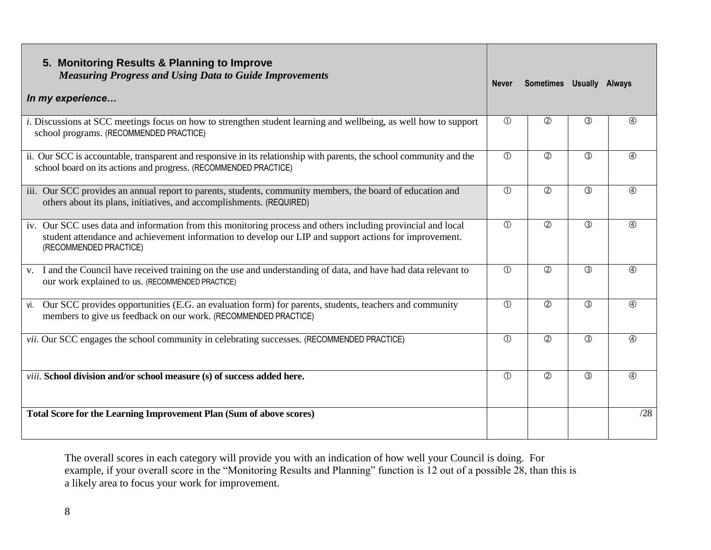| 5. Monitoring Results & Planning to Improve<br><b>Measuring Progress and Using Data to Guide Improvements</b><br>In my experience                                                                                                                | <b>Never</b>  | Sometimes Usually Always |               |               |
|--------------------------------------------------------------------------------------------------------------------------------------------------------------------------------------------------------------------------------------------------|---------------|--------------------------|---------------|---------------|
| <i>i.</i> Discussions at SCC meetings focus on how to strengthen student learning and wellbeing, as well how to support<br>school programs. (RECOMMENDED PRACTICE)                                                                               | $\circled{1}$ | $^{\circledR}$           | $\circled{3}$ | 4             |
| ii. Our SCC is accountable, transparent and responsive in its relationship with parents, the school community and the<br>school board on its actions and progress. (RECOMMENDED PRACTICE)                                                        | $\circled{1}$ | $\circled{2}$            | $\circled{3}$ | $\circled{4}$ |
| iii. Our SCC provides an annual report to parents, students, community members, the board of education and<br>others about its plans, initiatives, and accomplishments. (REQUIRED)                                                               | $\circ$       | $\circled{2}$            | (3)           | $\circled{4}$ |
| iv. Our SCC uses data and information from this monitoring process and others including provincial and local<br>student attendance and achievement information to develop our LIP and support actions for improvement.<br>(RECOMMENDED PRACTICE) | $\circ$       | $\circled{2}$            | (3)           | $\circled{4}$ |
| v. I and the Council have received training on the use and understanding of data, and have had data relevant to<br>our work explained to us. (RECOMMENDED PRACTICE)                                                                              | $\circled{1}$ | $\circled{2}$            | $\circled{3}$ | $\circled{4}$ |
| Our SCC provides opportunities (E.G. an evaluation form) for parents, students, teachers and community<br>vi.<br>members to give us feedback on our work. (RECOMMENDED PRACTICE)                                                                 | $\circled{1}$ | $\circled{2}$            | $\circled{3}$ | $\circledA$   |
| <i>vii.</i> Our SCC engages the school community in celebrating successes. (RECOMMENDED PRACTICE)                                                                                                                                                | $\circ$       | $\circled{2}$            | (3)           | $\circled{4}$ |
| <i>viii.</i> School division and/or school measure (s) of success added here.                                                                                                                                                                    | $\circ$       | $\circled{2}$            | (3)           | $\circled{4}$ |
| Total Score for the Learning Improvement Plan (Sum of above scores)                                                                                                                                                                              |               |                          |               | /28           |

The overall scores in each category will provide you with an indication of how well your Council is doing. For example, if your overall score in the "Monitoring Results and Planning" function is 12 out of a possible 28, than this is a likely area to focus your work for improvement.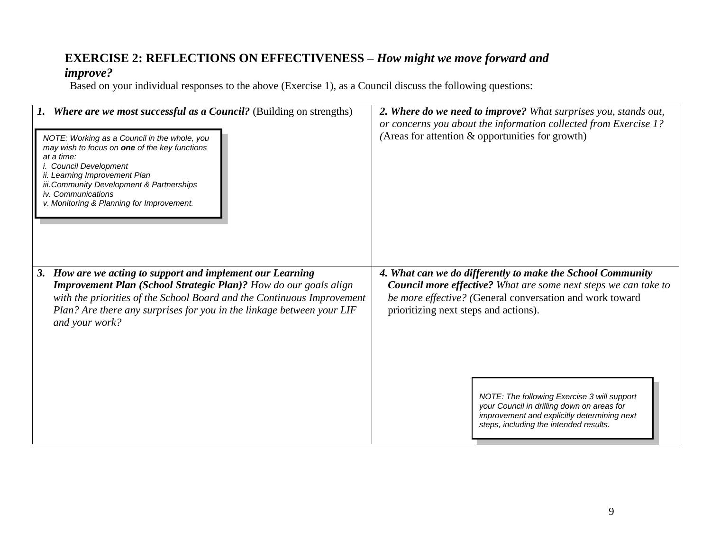#### **EXERCISE 2: REFLECTIONS ON EFFECTIVENESS –** *How might we move forward and*

#### *improve?*

Based on your individual responses to the above (Exercise 1), as a Council discuss the following questions:

| 1. Where are we most successful as a Council? (Building on strengths)<br>NOTE: Working as a Council in the whole, you<br>may wish to focus on <b>one</b> of the key functions<br>at a time:<br>i. Council Development<br>ii. Learning Improvement Plan<br>iii. Community Development & Partnerships<br>iv. Communications<br>v. Monitoring & Planning for Improvement. | 2. Where do we need to improve? What surprises you, stands out,<br>or concerns you about the information collected from Exercise 1?<br>(Areas for attention & opportunities for growth)                                                                                                                                                                                                                                         |
|------------------------------------------------------------------------------------------------------------------------------------------------------------------------------------------------------------------------------------------------------------------------------------------------------------------------------------------------------------------------|---------------------------------------------------------------------------------------------------------------------------------------------------------------------------------------------------------------------------------------------------------------------------------------------------------------------------------------------------------------------------------------------------------------------------------|
| 3. How are we acting to support and implement our Learning<br><b>Improvement Plan (School Strategic Plan)?</b> How do our goals align<br>with the priorities of the School Board and the Continuous Improvement<br>Plan? Are there any surprises for you in the linkage between your LIF<br>and your work?                                                             | 4. What can we do differently to make the School Community<br><b>Council more effective?</b> What are some next steps we can take to<br>be more effective? (General conversation and work toward<br>prioritizing next steps and actions).<br>NOTE: The following Exercise 3 will support<br>your Council in drilling down on areas for<br>improvement and explicitly determining next<br>steps, including the intended results. |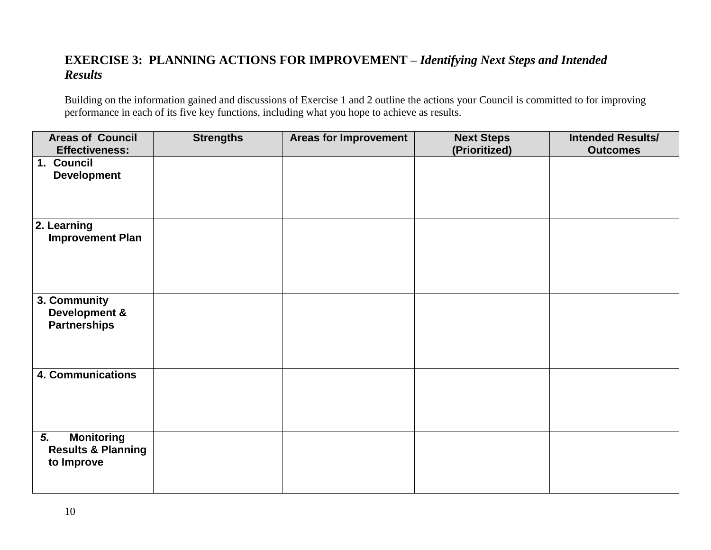#### **EXERCISE 3: PLANNING ACTIONS FOR IMPROVEMENT –** *Identifying Next Steps and Intended Results*

Building on the information gained and discussions of Exercise 1 and 2 outline the actions your Council is committed to for improving performance in each of its five key functions, including what you hope to achieve as results.

| <b>Areas of Council</b><br><b>Effectiveness:</b>                       | <b>Strengths</b> | <b>Areas for Improvement</b> | <b>Next Steps</b><br>(Prioritized) | <b>Intended Results/</b><br><b>Outcomes</b> |
|------------------------------------------------------------------------|------------------|------------------------------|------------------------------------|---------------------------------------------|
| 1. Council<br><b>Development</b>                                       |                  |                              |                                    |                                             |
| 2. Learning<br><b>Improvement Plan</b>                                 |                  |                              |                                    |                                             |
| 3. Community<br>Development &<br><b>Partnerships</b>                   |                  |                              |                                    |                                             |
| 4. Communications                                                      |                  |                              |                                    |                                             |
| <b>Monitoring</b><br>5.<br><b>Results &amp; Planning</b><br>to Improve |                  |                              |                                    |                                             |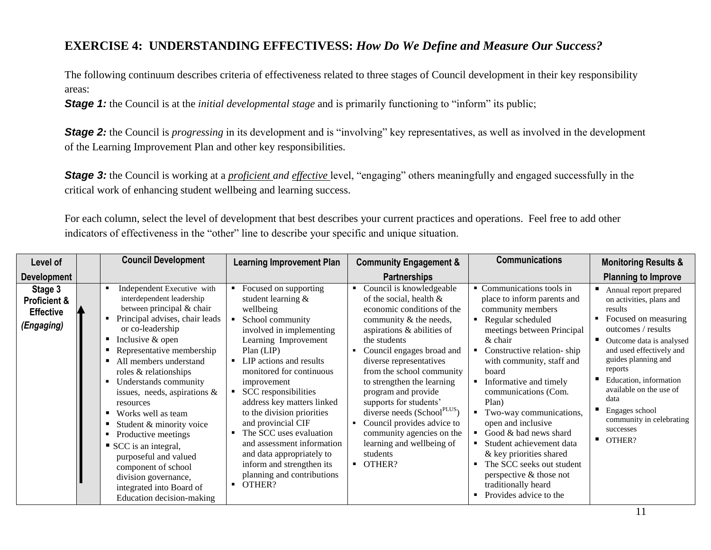#### **EXERCISE 4: UNDERSTANDING EFFECTIVESS:** *How Do We Define and Measure Our Success?*

The following continuum describes criteria of effectiveness related to three stages of Council development in their key responsibility areas:

**Stage 1:** the Council is at the *initial developmental stage* and is primarily functioning to "inform" its public;

**Stage 2**: the Council is *progressing* in its development and is "involving" key representatives, as well as involved in the development of the Learning Improvement Plan and other key responsibilities.

**Stage 3:** the Council is working at a *proficient and effective* level, "engaging" others meaningfully and engaged successfully in the critical work of enhancing student wellbeing and learning success.

For each column, select the level of development that best describes your current practices and operations. Feel free to add other indicators of effectiveness in the "other" line to describe your specific and unique situation.

| Level of                                                             | <b>Council Development</b>                                                                                                                                                                                                                                                                                                                                                                                                                                                                                                                                                 | <b>Learning Improvement Plan</b>                                                                                                                                                                                                                                                                                                                                                                                                                                                                       | <b>Community Engagement &amp;</b>                                                                                                                                                                                                                                                                                                                                                                                                                                                                                     | <b>Communications</b>                                                                                                                                                                                                                                                                                                                                                                                                                                                                                                   | <b>Monitoring Results &amp;</b>                                                                                                                                                                                                                                                                                                                        |
|----------------------------------------------------------------------|----------------------------------------------------------------------------------------------------------------------------------------------------------------------------------------------------------------------------------------------------------------------------------------------------------------------------------------------------------------------------------------------------------------------------------------------------------------------------------------------------------------------------------------------------------------------------|--------------------------------------------------------------------------------------------------------------------------------------------------------------------------------------------------------------------------------------------------------------------------------------------------------------------------------------------------------------------------------------------------------------------------------------------------------------------------------------------------------|-----------------------------------------------------------------------------------------------------------------------------------------------------------------------------------------------------------------------------------------------------------------------------------------------------------------------------------------------------------------------------------------------------------------------------------------------------------------------------------------------------------------------|-------------------------------------------------------------------------------------------------------------------------------------------------------------------------------------------------------------------------------------------------------------------------------------------------------------------------------------------------------------------------------------------------------------------------------------------------------------------------------------------------------------------------|--------------------------------------------------------------------------------------------------------------------------------------------------------------------------------------------------------------------------------------------------------------------------------------------------------------------------------------------------------|
| <b>Development</b>                                                   |                                                                                                                                                                                                                                                                                                                                                                                                                                                                                                                                                                            |                                                                                                                                                                                                                                                                                                                                                                                                                                                                                                        | <b>Partnerships</b>                                                                                                                                                                                                                                                                                                                                                                                                                                                                                                   |                                                                                                                                                                                                                                                                                                                                                                                                                                                                                                                         | <b>Planning to Improve</b>                                                                                                                                                                                                                                                                                                                             |
| Stage 3<br><b>Proficient &amp;</b><br><b>Effective</b><br>(Engaging) | Independent Executive with<br>interdependent leadership<br>between principal & chair<br>Principal advises, chair leads<br>or co-leadership<br>Inclusive & open<br>Representative membership<br>All members understand<br>roles & relationships<br>Understands community<br>issues, needs, aspirations $\&$<br>resources<br>Works well as team<br>$\blacksquare$<br>Student & minority voice<br>Productive meetings<br>SCC is an integral,<br>purposeful and valued<br>component of school<br>division governance,<br>integrated into Board of<br>Education decision-making | Focused on supporting<br>student learning &<br>wellbeing<br>School community<br>involved in implementing<br>Learning Improvement<br>$Plan$ ( $LIP$ )<br>LIP actions and results<br>monitored for continuous<br>improvement<br>SCC responsibilities<br>address key matters linked<br>to the division priorities<br>and provincial CIF<br>• The SCC uses evaluation<br>and assessment information<br>and data appropriately to<br>inform and strengthen its<br>planning and contributions<br>OTHER?<br>٠ | Council is knowledgeable<br>٠<br>of the social, health $\&$<br>economic conditions of the<br>community & the needs,<br>aspirations & abilities of<br>the students<br>Council engages broad and<br>diverse representatives<br>from the school community<br>to strengthen the learning<br>program and provide<br>supports for students'<br>diverse needs (School <sup>PLUS</sup> )<br>Council provides advice to<br>$\blacksquare$<br>community agencies on the<br>learning and wellbeing of<br>students<br>OTHER?<br>٠ | • Communications tools in<br>place to inform parents and<br>community members<br>Regular scheduled<br>meetings between Principal<br>$\&$ chair<br>Constructive relation-ship<br>with community, staff and<br>board<br>Informative and timely<br>communications (Com.<br>Plan)<br>Two-way communications,<br>open and inclusive<br>Good & bad news shard<br>Student achievement data<br>& key priorities shared<br>The SCC seeks out student<br>perspective & those not<br>traditionally heard<br>Provides advice to the | Annual report prepared<br>on activities, plans and<br>results<br>Focused on measuring<br>outcomes / results<br>Outcome data is analysed<br>and used effectively and<br>guides planning and<br>reports<br>Education, information<br>available on the use of<br>data<br>Engages school<br>community in celebrating<br>successes<br>$\blacksquare$ OTHER? |